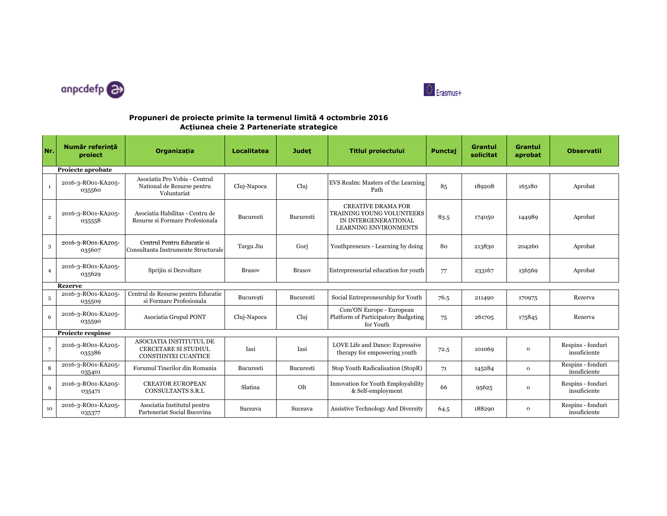



## **Propuneri de proiecte primite la termenul limită 4 octombrie 2016Acțiunea cheie 2 Parteneriate strategice**

| Nr.            | Număr referintă<br>project   | Organizația                                                                           | Localitatea   | <b>Judet</b>  | <b>Titlul proiectului</b>                                                                                      | Punctaj | <b>Grantul</b><br>solicitat | <b>Grantul</b><br>aprobat | <b>Observatii</b>                 |
|----------------|------------------------------|---------------------------------------------------------------------------------------|---------------|---------------|----------------------------------------------------------------------------------------------------------------|---------|-----------------------------|---------------------------|-----------------------------------|
|                | Proiecte aprobate            |                                                                                       |               |               |                                                                                                                |         |                             |                           |                                   |
| $\mathbf{1}$   | 2016-3-RO01-KA205-<br>035560 | Asociatia Pro Vobis - Centrul<br>National de Resurse pentru<br>Voluntariat            | Cluj-Napoca   | Cluj          | EVS Realm: Masters of the Learning<br>Path                                                                     | 85      | 189208                      | 165180                    | Aprobat                           |
| $\,2\,$        | 2016-3-RO01-KA205-<br>035558 | Asociatia Habilitas - Centru de<br>Resurse si Formare Profesionala                    | Bucuresti     | Bucuresti     | <b>CREATIVE DRAMA FOR</b><br>TRAINING YOUNG VOLUNTEERS<br>IN INTERGENERATIONAL<br><b>LEARNING ENVIRONMENTS</b> | 83.5    | 174050                      | 144989                    | Aprobat                           |
| 3              | 2016-3-RO01-KA205-<br>035607 | Centrul Pentru Educatie si<br>Consultanta Instrumente Structurale                     | Targu Jiu     | Gorj          | Youthpreneurs - Learning by doing                                                                              | 80      | 213830                      | 204260                    | Aprobat                           |
| $\overline{4}$ | 2016-3-RO01-KA205-<br>035629 | Sprijin si Dezvoltare                                                                 | <b>Brasov</b> | <b>Brasov</b> | Entrepreneurial education for youth                                                                            | 77      | 233167                      | 156569                    | Aprobat                           |
|                | <b>Rezerve</b>               |                                                                                       |               |               |                                                                                                                |         |                             |                           |                                   |
| 5              | 2016-3-RO01-KA205-<br>035509 | Centrul de Resurse pentru Educatie<br>si Formare Profesionala                         | Bucuresti     | Bucuresti     | Social Entrepreneurship for Youth                                                                              | 76.5    | 211490                      | 170975                    | Rezerva                           |
| 6              | 2016-3-RO01-KA205-<br>035590 | Asociatia Grupul PONT                                                                 | Cluj-Napoca   | Cluj          | Com'ON Europe - European<br>Platform of Participatory Budgeting<br>for Youth                                   | 75      | 261705                      | 175845                    | Rezerva                           |
|                | <b>Projecte respinse</b>     |                                                                                       |               |               |                                                                                                                |         |                             |                           |                                   |
| $\overline{7}$ | 2016-3-RO01-KA205-<br>035386 | ASOCIATIA INSTITUTUL DE<br><b>CERCETARE SI STUDIUL</b><br><b>CONSTIINTEI CUANTICE</b> | Iasi          | Iasi          | LOVE Life and Dance: Expressive<br>therapy for empowering youth                                                | 72.5    | 101069                      | $\mathbf 0$               | Respins - fonduri<br>insuficiente |
| 8              | 2016-3-RO01-KA205-<br>035401 | Forumul Tinerilor din Romania                                                         | Bucuresti     | Bucuresti     | Stop Youth Radicalisation (StopR)                                                                              | 71      | 145284                      | $\mathbf 0$               | Respins - fonduri<br>insuficiente |
| 9              | 2016-3-RO01-KA205-<br>035471 | <b>CREATOR EUROPEAN</b><br>CONSULTANTS S.R.L                                          | Slatina       | Olt           | Innovation for Youth Employability<br>& Self-employment                                                        | 66      | 95625                       | $\mathbf 0$               | Respins - fonduri<br>insuficiente |
| 10             | 2016-3-RO01-KA205-<br>035377 | Asociatia Institutul pentru<br>Parteneriat Social Bucovina                            | Suceava       | Suceava       | <b>Assistive Technology And Diversity</b>                                                                      | 64.5    | 188290                      | $\mathbf{o}$              | Respins - fonduri<br>insuficiente |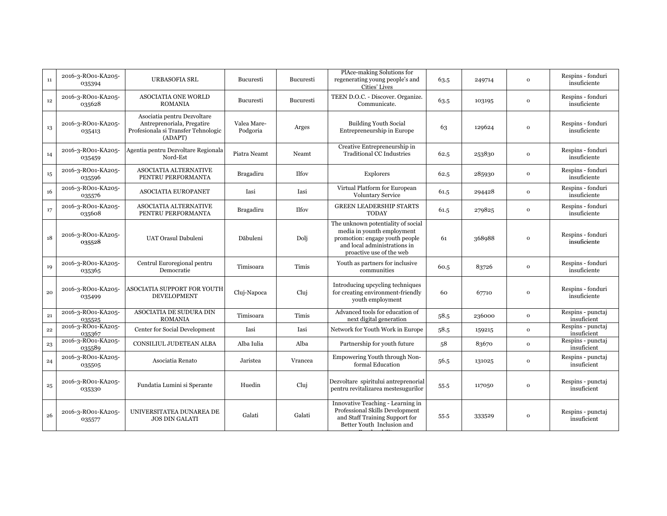| $11\,$       | 2016-3-RO01-KA205-<br>035394 | <b>URBASOFIA SRL</b>                                                                                        | Bucuresti               | Bucuresti    | PlAce-making Solutions for<br>regenerating young people's and<br>Cities' Lives                                                                                 | 63.5 | 249714 | $\mathbf{O}$ | Respins - fonduri<br>insuficiente |
|--------------|------------------------------|-------------------------------------------------------------------------------------------------------------|-------------------------|--------------|----------------------------------------------------------------------------------------------------------------------------------------------------------------|------|--------|--------------|-----------------------------------|
| $12\,$       | 2016-3-RO01-KA205-<br>035628 | <b>ASOCIATIA ONE WORLD</b><br><b>ROMANIA</b>                                                                | Bucuresti               | Bucuresti    | TEEN D.O.C. - Discover. Organize.<br>Communicate.                                                                                                              | 63.5 | 103195 | $\mathbf{o}$ | Respins - fonduri<br>insuficiente |
| 13           | 2016-3-RO01-KA205-<br>035413 | Asociatia pentru Dezvoltare<br>Antreprenoriala, Pregatire<br>Profesionala si Transfer Tehnologic<br>(ADAPT) | Valea Mare-<br>Podgoria | Arges        | <b>Building Youth Social</b><br>Entrepreneurship in Europe                                                                                                     | 63   | 129624 | $\Omega$     | Respins - fonduri<br>insuficiente |
| 14           | 2016-3-RO01-KA205-<br>035459 | Agentia pentru Dezvoltare Regionala<br>Nord-Est                                                             | Piatra Neamt            | Neamt        | Creative Entrepreneurship in<br><b>Traditional CC Industries</b>                                                                                               | 62.5 | 253830 | $\mathbf{o}$ | Respins - fonduri<br>insuficiente |
| 15           | 2016-3-RO01-KA205-<br>035596 | <b>ASOCIATIA ALTERNATIVE</b><br>PENTRU PERFORMANTA                                                          | <b>Bragadiru</b>        | <b>Ilfov</b> | Explorers                                                                                                                                                      | 62.5 | 285930 | $\mathbf{o}$ | Respins - fonduri<br>insuficiente |
| 16           | 2016-3-RO01-KA205-<br>035576 | <b>ASOCIATIA EUROPANET</b>                                                                                  | Iasi                    | Iasi         | Virtual Platform for European<br>Voluntary Service                                                                                                             | 61.5 | 294428 | $\mathbf{o}$ | Respins - fonduri<br>insuficiente |
| 17           | 2016-3-RO01-KA205-<br>035608 | ASOCIATIA ALTERNATIVE<br>PENTRU PERFORMANTA                                                                 | <b>Bragadiru</b>        | Ilfov        | <b>GREEN LEADERSHIP STARTS</b><br><b>TODAY</b>                                                                                                                 | 61.5 | 279825 | $\mathbf{o}$ | Respins - fonduri<br>insuficiente |
| 18           | 2016-3-RO01-KA205-<br>035528 | UAT Orasul Dabuleni                                                                                         | Dăbuleni                | Dolj         | The unknown potentiality of social<br>media in younth employment<br>promotion: engage youth people<br>and local administrations in<br>proactive use of the web | 61   | 368988 | $\Omega$     | Respins - fonduri<br>insuficiente |
| 19           | 2016-3-RO01-KA205-<br>035365 | Centrul Euroregional pentru<br>Democratie                                                                   | Timisoara               | Timis        | Youth as partners for inclusive<br>communities                                                                                                                 | 60.5 | 83726  | $\mathbf{o}$ | Respins - fonduri<br>insuficiente |
| $20\,$       | 2016-3-RO01-KA205-<br>035499 | ASOCIATIA SUPPORT FOR YOUTH<br>DEVELOPMENT                                                                  | Cluj-Napoca             | Cluj         | Introducing upcycling techniques<br>for creating environment-friendly<br>youth employment                                                                      | 60   | 67710  | $\Omega$     | Respins - fonduri<br>insuficiente |
| $\bf{21}$    | 2016-3-RO01-KA205-<br>035525 | ASOCIATIA DE SUDURA DIN<br><b>ROMANIA</b>                                                                   | Timisoara               | Timis        | Advanced tools for education of<br>next digital generation                                                                                                     | 58.5 | 236000 | $\mathbf 0$  | Respins - punctaj<br>insuficient  |
| $\bf{^{22}}$ | 2016-3-RO01-KA205-<br>035367 | Center for Social Development                                                                               | Iasi                    | Iasi         | Network for Youth Work in Europe                                                                                                                               | 58.5 | 159215 | $\mathbf{o}$ | Respins - punctaj<br>insuficient  |
| $^{\rm 23}$  | 2016-3-RO01-KA205-<br>035589 | CONSILIUL JUDETEAN ALBA                                                                                     | Alba Iulia              | Alba         | Partnership for youth future                                                                                                                                   | 58   | 83670  | $\mathbf{o}$ | Respins - punctaj<br>insuficient  |
| 24           | 2016-3-RO01-KA205-<br>035505 | Asociatia Renato                                                                                            | Jaristea                | Vrancea      | Empowering Youth through Non-<br>formal Education                                                                                                              | 56.5 | 131025 | $\mathbf{o}$ | Respins - punctaj<br>insuficient  |
| $\bf{^{25}}$ | 2016-3-RO01-KA205-<br>035330 | Fundatia Lumini si Sperante                                                                                 | Huedin                  | Cluj         | Dezvoltare spiritului antreprenorial<br>pentru revitalizarea mestesugurilor                                                                                    | 55.5 | 117050 | $\mathbf{o}$ | Respins - punctaj<br>insuficient  |
| 26           | 2016-3-RO01-KA205-<br>035577 | UNIVERSITATEA DUNAREA DE<br><b>JOS DIN GALATI</b>                                                           | Galati                  | Galati       | Innovative Teaching - Learning in<br>Professional Skills Development<br>and Staff Training Support for<br>Better Youth Inclusion and                           | 55.5 | 333529 | $\Omega$     | Respins - punctaj<br>insuficient  |